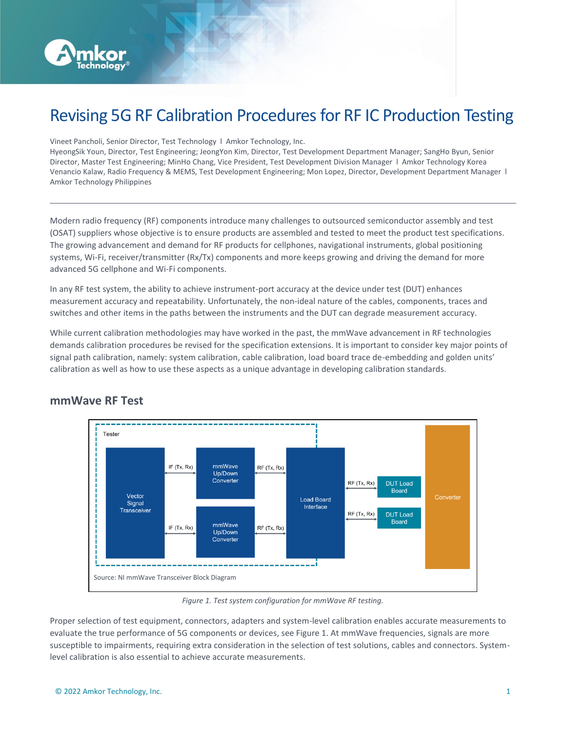

# Revising 5G RF Calibration Procedures for RF IC Production Testing

Vineet Pancholi, Senior Director, Test Technology l Amkor Technology, Inc.

HyeongSik Youn, Director, Test Engineering; JeongYon Kim, Director, Test Development Department Manager; SangHo Byun, Senior Director, Master Test Engineering; MinHo Chang, Vice President, Test Development Division Manager l Amkor Technology Korea Venancio Kalaw, Radio Frequency & MEMS, Test Development Engineering; Mon Lopez, Director, Development Department Manager l Amkor Technology Philippines

Modern radio frequency (RF) components introduce many challenges to outsourced semiconductor assembly and test (OSAT) suppliers whose objective is to ensure products are assembled and tested to meet the product test specifications. The growing advancement and demand for RF products for cellphones, navigational instruments, global positioning systems, Wi-Fi, receiver/transmitter (Rx/Tx) components and more keeps growing and driving the demand for more advanced 5G cellphone and Wi-Fi components.

In any RF test system, the ability to achieve instrument-port accuracy at the device under test (DUT) enhances measurement accuracy and repeatability. Unfortunately, the non-ideal nature of the cables, components, traces and switches and other items in the paths between the instruments and the DUT can degrade measurement accuracy.

While current calibration methodologies may have worked in the past, the mmWave advancement in RF technologies demands calibration procedures be revised for the specification extensions. It is important to consider key major points of signal path calibration, namely: system calibration, cable calibration, load board trace de-embedding and golden units' calibration as well as how to use these aspects as a unique advantage in developing calibration standards.



### **mmWave RF Test**

*Figure 1. Test system configuration for mmWave RF testing.*

Proper selection of test equipment, connectors, adapters and system-level calibration enables accurate measurements to evaluate the true performance of 5G components or devices, see Figure 1. At mmWave frequencies, signals are more susceptible to impairments, requiring extra consideration in the selection of test solutions, cables and connectors. Systemlevel calibration is also essential to achieve accurate measurements.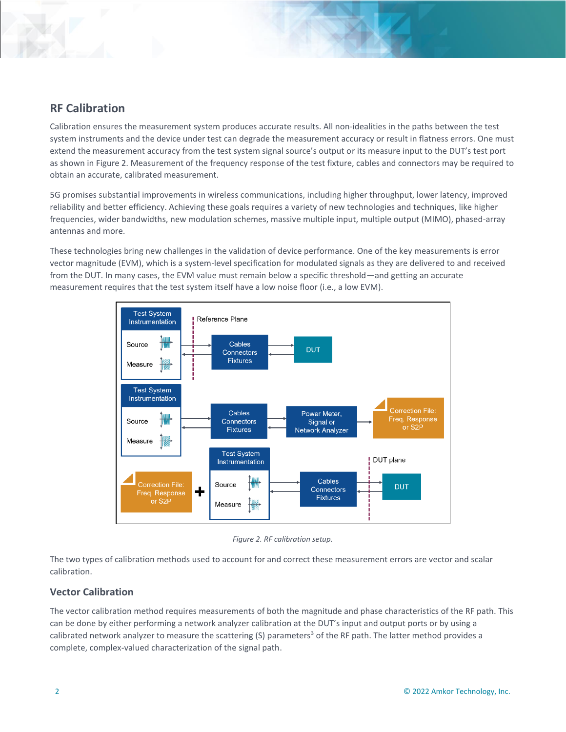

Calibration ensures the measurement system produces accurate results. All non-idealities in the paths between the test system instruments and the device under test can degrade the measurement accuracy or result in flatness errors. One must extend the measurement accuracy from the test system signal source's output or its measure input to the DUT's test port as shown in Figure 2. Measurement of the frequency response of the test fixture, cables and connectors may be required to obtain an accurate, calibrated measurement.

5G promises substantial improvements in wireless communications, including higher throughput, lower latency, improved reliability and better efficiency. Achieving these goals requires a variety of new technologies and techniques, like higher frequencies, wider bandwidths, new modulation schemes, massive multiple input, multiple output (MIMO), phased-array antennas and more.

These technologies bring new challenges in the validation of device performance. One of the key measurements is error vector magnitude (EVM), which is a system-level specification for modulated signals as they are delivered to and received from the DUT. In many cases, the EVM value must remain below a specific threshold—and getting an accurate measurement requires that the test system itself have a low noise floor (i.e., a low EVM).



*Figure 2. RF calibration setup.*

The two types of calibration methods used to account for and correct these measurement errors are vector and scalar calibration.

#### **Vector Calibration**

The vector calibration method requires measurements of both the magnitude and phase characteristics of the RF path. This can be done by either performing a network analyzer calibration at the DUT's input and output ports or by using a calibrated network analyzer to measure the scattering (S) parameters<sup>3</sup> of the RF path. The latter method provides a complete, complex-valued characterization of the signal path.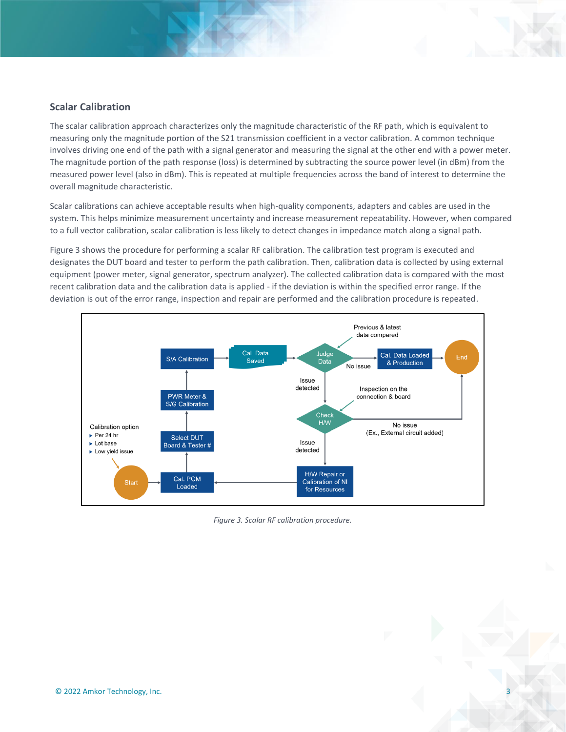#### **Scalar Calibration**

The scalar calibration approach characterizes only the magnitude characteristic of the RF path, which is equivalent to measuring only the magnitude portion of the S21 transmission coefficient in a vector calibration. A common technique involves driving one end of the path with a signal generator and measuring the signal at the other end with a power meter. The magnitude portion of the path response (loss) is determined by subtracting the source power level (in dBm) from the measured power level (also in dBm). This is repeated at multiple frequencies across the band of interest to determine the overall magnitude characteristic.

Scalar calibrations can achieve acceptable results when high-quality components, adapters and cables are used in the system. This helps minimize measurement uncertainty and increase measurement repeatability. However, when compared to a full vector calibration, scalar calibration is less likely to detect changes in impedance match along a signal path.

Figure 3 shows the procedure for performing a scalar RF calibration. The calibration test program is executed and designates the DUT board and tester to perform the path calibration. Then, calibration data is collected by using external equipment (power meter, signal generator, spectrum analyzer). The collected calibration data is compared with the most recent calibration data and the calibration data is applied - if the deviation is within the specified error range. If the deviation is out of the error range, inspection and repair are performed and the calibration procedure is repeated.



*Figure 3. Scalar RF calibration procedure.*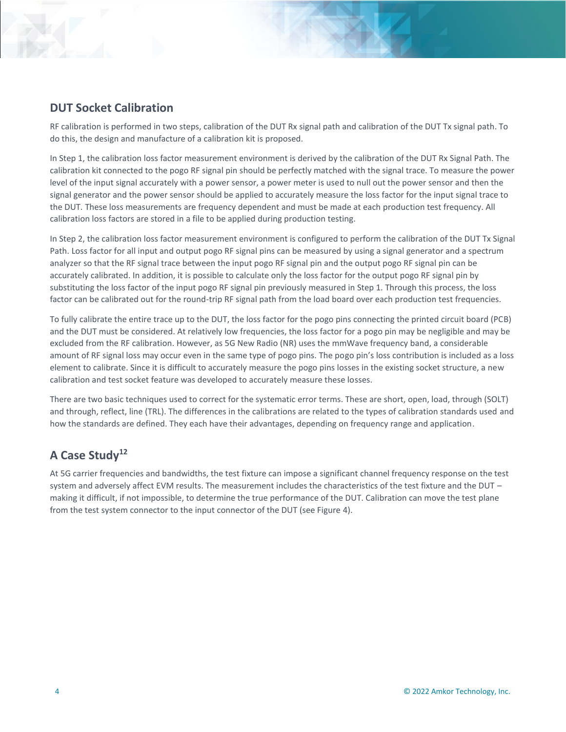### **DUT Socket Calibration**

RF calibration is performed in two steps, calibration of the DUT Rx signal path and calibration of the DUT Tx signal path. To do this, the design and manufacture of a calibration kit is proposed.

In Step 1, the calibration loss factor measurement environment is derived by the calibration of the DUT Rx Signal Path. The calibration kit connected to the pogo RF signal pin should be perfectly matched with the signal trace. To measure the power level of the input signal accurately with a power sensor, a power meter is used to null out the power sensor and then the signal generator and the power sensor should be applied to accurately measure the loss factor for the input signal trace to the DUT. These loss measurements are frequency dependent and must be made at each production test frequency. All calibration loss factors are stored in a file to be applied during production testing.

In Step 2, the calibration loss factor measurement environment is configured to perform the calibration of the DUT Tx Signal Path. Loss factor for all input and output pogo RF signal pins can be measured by using a signal generator and a spectrum analyzer so that the RF signal trace between the input pogo RF signal pin and the output pogo RF signal pin can be accurately calibrated. In addition, it is possible to calculate only the loss factor for the output pogo RF signal pin by substituting the loss factor of the input pogo RF signal pin previously measured in Step 1. Through this process, the loss factor can be calibrated out for the round-trip RF signal path from the load board over each production test frequencies.

To fully calibrate the entire trace up to the DUT, the loss factor for the pogo pins connecting the printed circuit board (PCB) and the DUT must be considered. At relatively low frequencies, the loss factor for a pogo pin may be negligible and may be excluded from the RF calibration. However, as 5G New Radio (NR) uses the mmWave frequency band, a considerable amount of RF signal loss may occur even in the same type of pogo pins. The pogo pin's loss contribution is included as a loss element to calibrate. Since it is difficult to accurately measure the pogo pins losses in the existing socket structure, a new calibration and test socket feature was developed to accurately measure these losses.

There are two basic techniques used to correct for the systematic error terms. These are short, open, load, through (SOLT) and through, reflect, line (TRL). The differences in the calibrations are related to the types of calibration standards used and how the standards are defined. They each have their advantages, depending on frequency range and application.

## **A Case Study<sup>12</sup>**

At 5G carrier frequencies and bandwidths, the test fixture can impose a significant channel frequency response on the test system and adversely affect EVM results. The measurement includes the characteristics of the test fixture and the DUT – making it difficult, if not impossible, to determine the true performance of the DUT. Calibration can move the test plane from the test system connector to the input connector of the DUT (see Figure 4).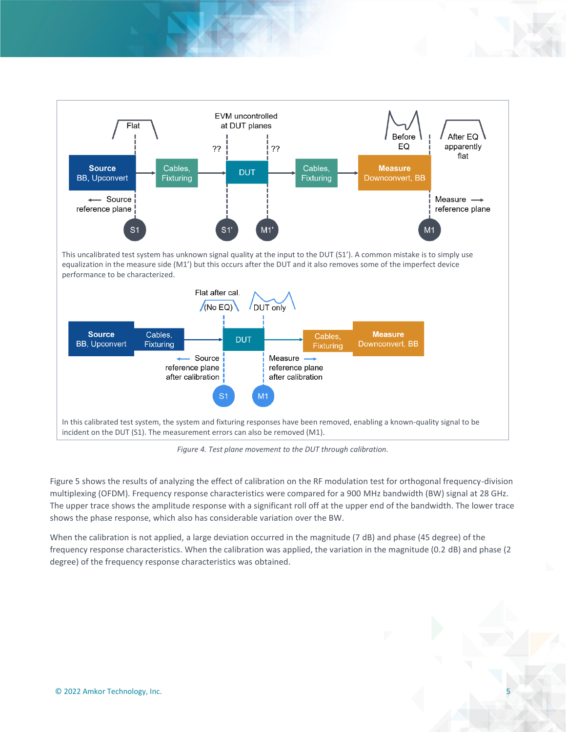

*Figure 4. Test plane movement to the DUT through calibration.*

Figure 5 shows the results of analyzing the effect of calibration on the RF modulation test for orthogonal frequency-division multiplexing (OFDM). Frequency response characteristics were compared for a 900 MHz bandwidth (BW) signal at 28 GHz. The upper trace shows the amplitude response with a significant roll off at the upper end of the bandwidth. The lower trace shows the phase response, which also has considerable variation over the BW.

When the calibration is not applied, a large deviation occurred in the magnitude (7 dB) and phase (45 degree) of the frequency response characteristics. When the calibration was applied, the variation in the magnitude (0.2 dB) and phase (2 degree) of the frequency response characteristics was obtained.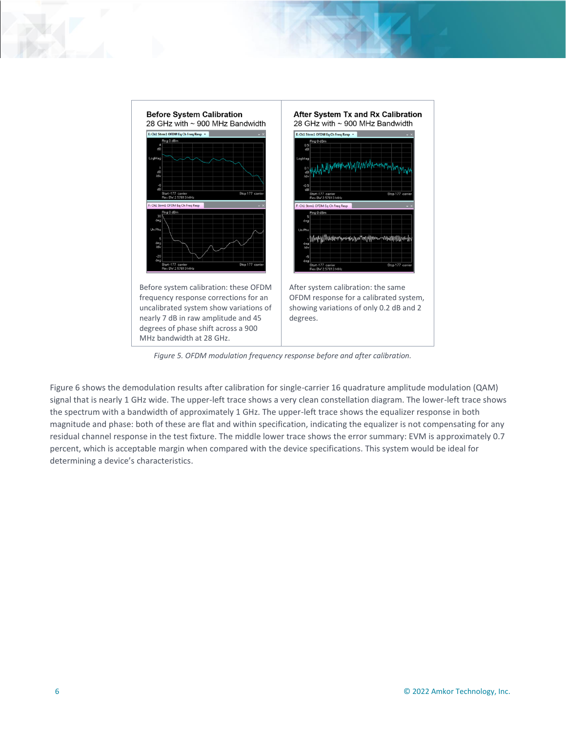

*Figure 5. OFDM modulation frequency response before and after calibration.*

Figure 6 shows the demodulation results after calibration for single-carrier 16 quadrature amplitude modulation (QAM) signal that is nearly 1 GHz wide. The upper-left trace shows a very clean constellation diagram. The lower-left trace shows the spectrum with a bandwidth of approximately 1 GHz. The upper-left trace shows the equalizer response in both magnitude and phase: both of these are flat and within specification, indicating the equalizer is not compensating for any residual channel response in the test fixture. The middle lower trace shows the error summary: EVM is approximately 0.7 percent, which is acceptable margin when compared with the device specifications. This system would be ideal for determining a device's characteristics.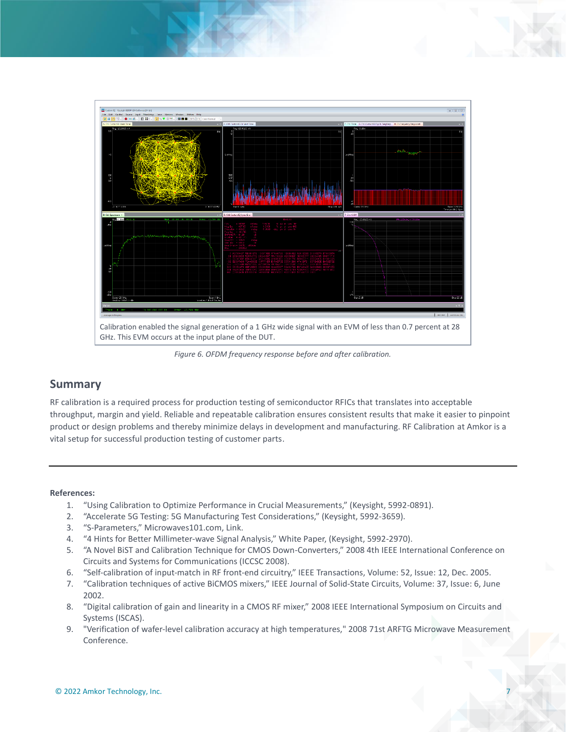

*Figure 6. OFDM frequency response before and after calibration.*

### **Summary**

RF calibration is a required process for production testing of semiconductor RFICs that translates into acceptable throughput, margin and yield. Reliable and repeatable calibration ensures consistent results that make it easier to pinpoint product or design problems and thereby minimize delays in development and manufacturing. RF Calibration at Amkor is a vital setup for successful production testing of customer parts.

#### **References:**

- 1. "Using Calibration to Optimize Performance in Crucial Measurements," (Keysight, 5992-0891).
- 2. "Accelerate 5G Testing: 5G Manufacturing Test Considerations," (Keysight, 5992-3659).
- 3. "S-Parameters," Microwaves101.com, Link.
- 4. "4 Hints for Better Millimeter-wave Signal Analysis," White Paper, (Keysight, 5992-2970).
- 5. "A Novel BiST and Calibration Technique for CMOS Down-Converters," 2008 4th IEEE International Conference on Circuits and Systems for Communications (ICCSC 2008).
- 6. "Self-calibration of input-match in RF front-end circuitry," IEEE Transactions, Volume: 52, Issue: 12, Dec. 2005.
- 7. "Calibration techniques of active BiCMOS mixers," IEEE Journal of Solid-State Circuits, Volume: 37, Issue: 6, June 2002.
- 8. "Digital calibration of gain and linearity in a CMOS RF mixer," 2008 IEEE International Symposium on Circuits and Systems (ISCAS).
- 9. "Verification of wafer-level calibration accuracy at high temperatures," 2008 71st ARFTG Microwave Measurement Conference.